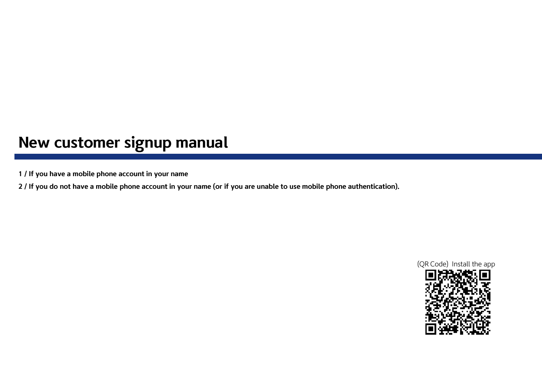## **New customer signup manual**

- **1 / If you have a mobile phone account in your name**
- **2 / If you do not have a mobile phone account in your name (or if you are unable to use mobile phone authentication).**

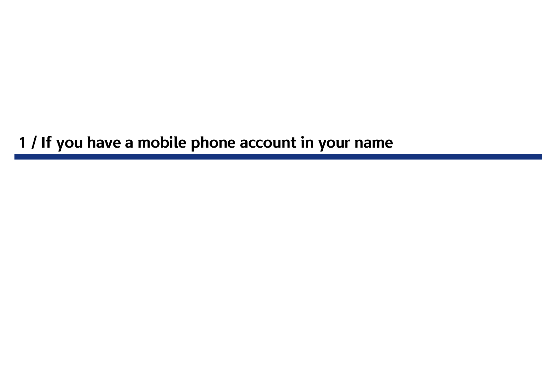**1 / If you have a mobile phone account in your name**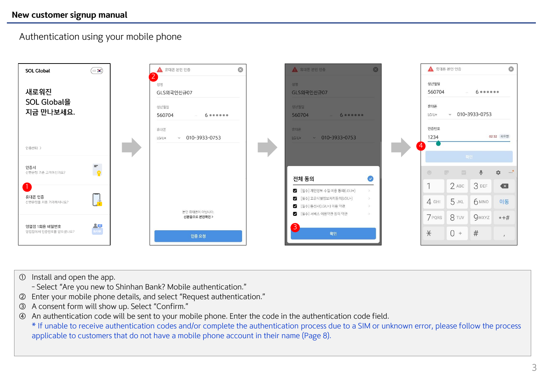## Authentication using your mobile phone



- Install and open the app.
	- Select "Are you new to Shinhan Bank? Mobile authentication."
- Enter your mobile phone details, and select "Request authentication."
- A consent form will show up. Select "Confirm."
- An authentication code will be sent to your mobile phone. Enter the code in the authentication code field.

\* If unable to receive authentication codes and/or complete the authentication process due to a SIM or unknown error, please follow the process applicable to customers that do not have a mobile phone account in their name (Page 8).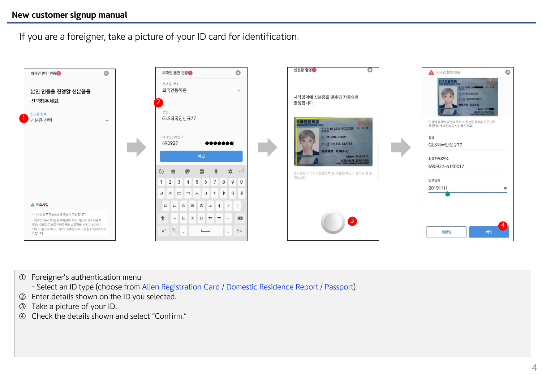If you are a foreigner, take a picture of your ID card for identification.



Foreigner's authentication menu

- Select an ID type (choose from Alien Registration Card / Domestic Residence Report / Passport)

- Enter details shown on the ID you selected.
- Take a picture of your ID.
- Check the details shown and select "Confirm."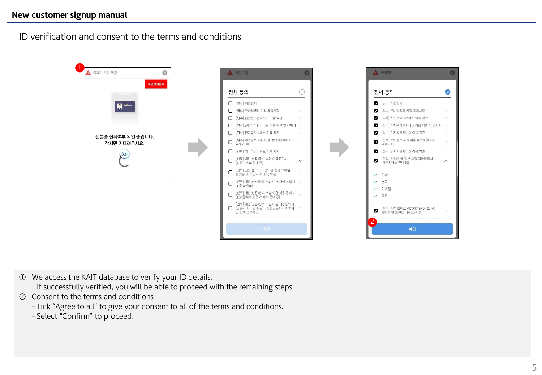ID verification and consent to the terms and conditions



- ① We access the KAIT database to verify your ID details.
	- If successfully verified, you will be able to proceed with the remaining steps.
- ② Consent to the terms and conditions
	- Tick "Agree to all" to give your consent to all of the terms and conditions.
	- Select "Confirm" to proceed.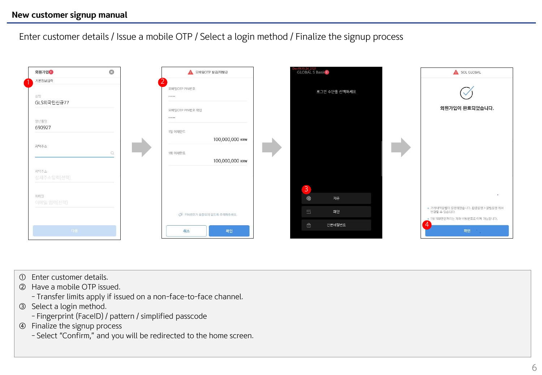Enter customer details / Issue a mobile OTP / Select a login method / Finalize the signup process



- Enter customer details.
- Have a mobile OTP issued.
	- Transfer limits apply if issued on a non-face-to-face channel.
- Select a login method.
	- Fingerprint (FaceID) / pattern / simplified passcode
- Finalize the signup process
	- Select "Confirm," and you will be redirected to the home screen.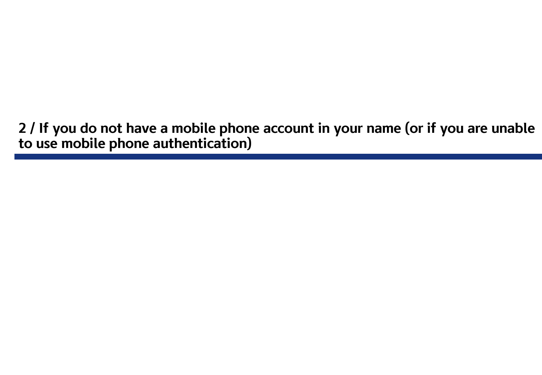**2 / If you do not have a mobile phone account in your name (or if you are unable to use mobile phone authentication)**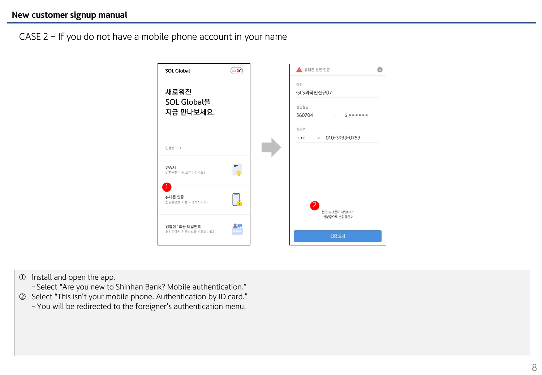CASE 2 – If you do not have a mobile phone account in your name



## ① Install and open the app.

- Select "Are you new to Shinhan Bank? Mobile authentication."
- ② Select "This isn't your mobile phone. Authentication by ID card."
	- You will be redirected to the foreigner's authentication menu.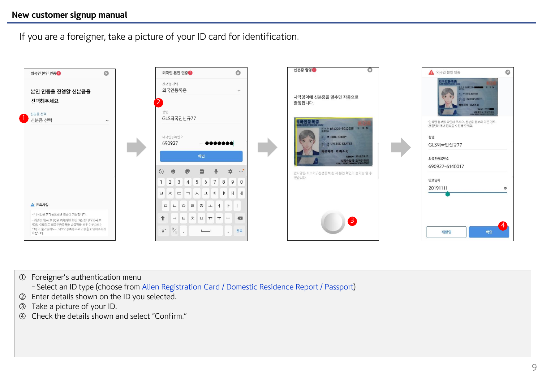If you are a foreigner, take a picture of your ID card for identification.



Foreigner's authentication menu

- Select an ID type (choose from Alien Registration Card / Domestic Residence Report / Passport)

- Enter details shown on the ID you selected.
- Take a picture of your ID.
- Check the details shown and select "Confirm."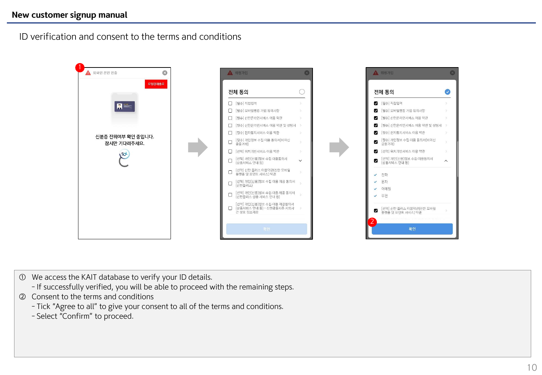## **New customer signup manual**

ID verification and consent to the terms and conditions



- ① We access the KAIT database to verify your ID details.
	- If successfully verified, you will be able to proceed with the remaining steps.
- ② Consent to the terms and conditions
	- Tick "Agree to all" to give your consent to all of the terms and conditions.
	- Select "Confirm" to proceed.